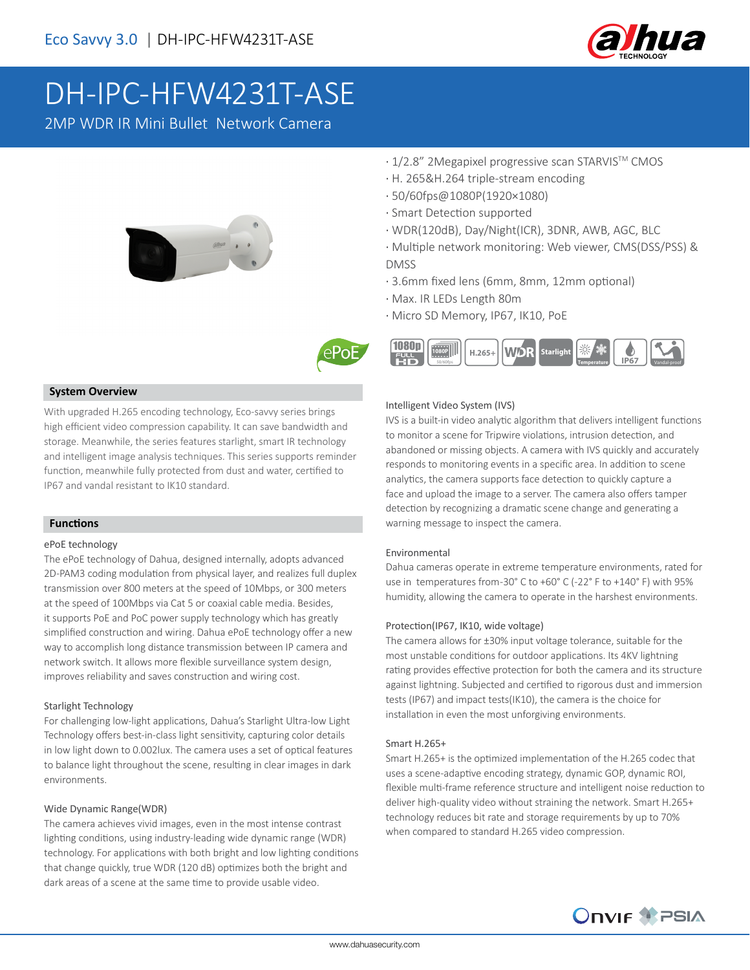

# DH-IPC-HFW4231T-ASE

2MP WDR IR Mini Bullet Network Camera







#### **Temperature** 1080p  **50/60fps 1080P H.265+ Starlight IP67 Vandal-proof**

· Multiple network monitoring: Web viewer, CMS(DSS/PSS) &

· 1/2.8" 2Megapixel progressive scan STARVISTM CMOS

· WDR(120dB), Day/Night(ICR), 3DNR, AWB, AGC, BLC

· 3.6mm fixed lens (6mm, 8mm, 12mm optional)

· H. 265&H.264 triple-stream encoding

· 50/60fps@1080P(1920×1080) · Smart Detection supported

#### **System Overview**

With upgraded H.265 encoding technology, Eco-savvy series brings high efficient video compression capability. It can save bandwidth and storage. Meanwhile, the series features starlight, smart IR technology and intelligent image analysis techniques. This series supports reminder function, meanwhile fully protected from dust and water, certified to IP67 and vandal resistant to IK10 standard.

#### **Functions**

#### ePoE technology

The ePoE technology of Dahua, designed internally, adopts advanced 2D-PAM3 coding modulation from physical layer, and realizes full duplex transmission over 800 meters at the speed of 10Mbps, or 300 meters at the speed of 100Mbps via Cat 5 or coaxial cable media. Besides, it supports PoE and PoC power supply technology which has greatly simplified construction and wiring. Dahua ePoE technology offer a new way to accomplish long distance transmission between IP camera and network switch. It allows more flexible surveillance system design, improves reliability and saves construction and wiring cost.

#### Starlight Technology

For challenging low-light applications, Dahua's Starlight Ultra-low Light Technology offers best-in-class light sensitivity, capturing color details in low light down to 0.002lux. The camera uses a set of optical features to balance light throughout the scene, resulting in clear images in dark environments.

#### Wide Dynamic Range(WDR)

The camera achieves vivid images, even in the most intense contrast lighting conditions, using industry-leading wide dynamic range (WDR) technology. For applications with both bright and low lighting conditions that change quickly, true WDR (120 dB) optimizes both the bright and dark areas of a scene at the same time to provide usable video.

#### Intelligent Video System (IVS)

· Max. IR LEDs Length 80m

· Micro SD Memory, IP67, IK10, PoE

IVS is a built-in video analytic algorithm that delivers intelligent functions to monitor a scene for Tripwire violations, intrusion detection, and abandoned or missing objects. A camera with IVS quickly and accurately responds to monitoring events in a specific area. In addition to scene analytics, the camera supports face detection to quickly capture a face and upload the image to a server. The camera also offers tamper detection by recognizing a dramatic scene change and generating a warning message to inspect the camera.

#### Environmental

DMSS

Dahua cameras operate in extreme temperature environments, rated for use in temperatures from -30° C to +60° C (-22° F to +140° F) with 95% humidity, allowing the camera to operate in the harshest environments.

#### Protection(IP67, IK10, wide voltage)

The camera allows for ±30% input voltage tolerance, suitable for the most unstable conditions for outdoor applications. Its 4KV lightning rating provides effective protection for both the camera and its structure against lightning. Subjected and certified to rigorous dust and immersion tests (IP67) and impact tests(IK10), the camera is the choice for installation in even the most unforgiving environments.

#### Smart H.265+

Smart H.265+ is the optimized implementation of the H.265 codec that uses a scene-adaptive encoding strategy, dynamic GOP, dynamic ROI, flexible multi-frame reference structure and intelligent noise reduction to deliver high-quality video without straining the network. Smart H.265+ technology reduces bit rate and storage requirements by up to 70% when compared to standard H.265 video compression.

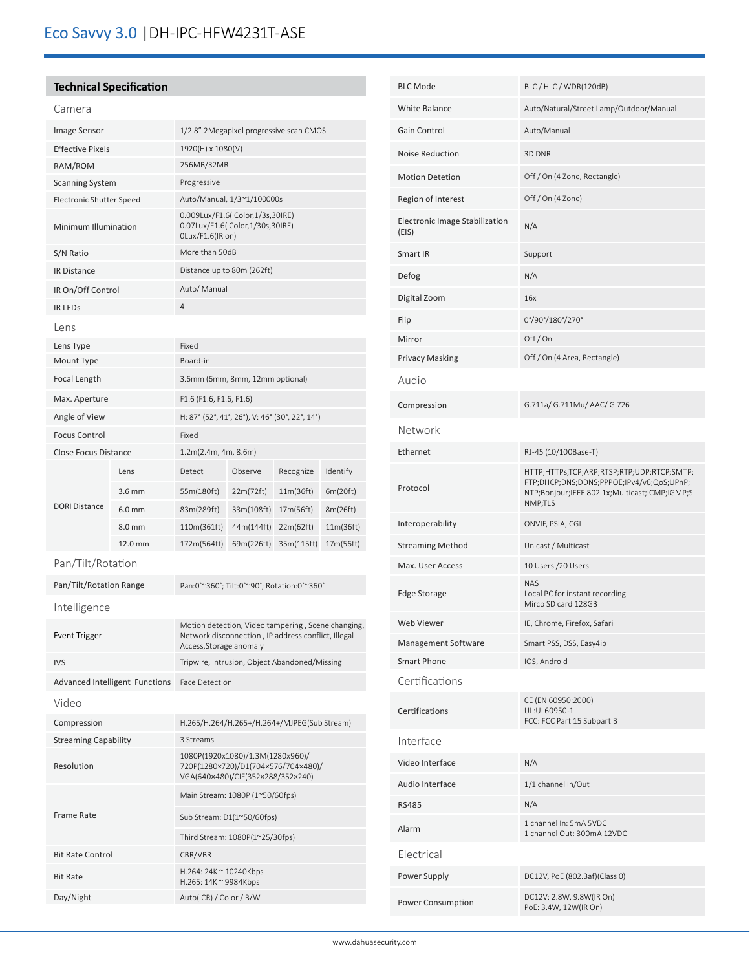## **Technical Specification**

| Camera                         |                             |                                         |                                                                                                                                      |            |            |           |
|--------------------------------|-----------------------------|-----------------------------------------|--------------------------------------------------------------------------------------------------------------------------------------|------------|------------|-----------|
| Image Sensor                   |                             | 1/2.8" 2Megapixel progressive scan CMOS |                                                                                                                                      |            |            |           |
| <b>Effective Pixels</b>        |                             |                                         | 1920(H) x 1080(V)                                                                                                                    |            |            |           |
| RAM/ROM                        |                             |                                         | 256MB/32MB                                                                                                                           |            |            |           |
| <b>Scanning System</b>         |                             |                                         | Progressive                                                                                                                          |            |            |           |
| Electronic Shutter Speed       |                             |                                         | Auto/Manual, 1/3~1/100000s                                                                                                           |            |            |           |
| Minimum Illumination           |                             |                                         | 0.009Lux/F1.6( Color,1/3s,30IRE)<br>0.07Lux/F1.6( Color,1/30s,30IRE)<br>OLux/F1.6(IR on)                                             |            |            |           |
| S/N Ratio                      |                             |                                         | More than 50dB                                                                                                                       |            |            |           |
| <b>IR Distance</b>             |                             |                                         | Distance up to 80m (262ft)                                                                                                           |            |            |           |
| IR On/Off Control              |                             |                                         | Auto/ Manual                                                                                                                         |            |            |           |
| <b>IR LEDS</b>                 |                             |                                         | $\overline{4}$                                                                                                                       |            |            |           |
| Lens                           |                             |                                         |                                                                                                                                      |            |            |           |
| Lens Type                      |                             |                                         | Fixed                                                                                                                                |            |            |           |
| Mount Type                     |                             |                                         | Board-in                                                                                                                             |            |            |           |
|                                | Focal Length                |                                         | 3.6mm (6mm, 8mm, 12mm optional)                                                                                                      |            |            |           |
| Max. Aperture                  |                             | F1.6 (F1.6, F1.6, F1.6)                 |                                                                                                                                      |            |            |           |
|                                | Angle of View               |                                         | H: 87° (52°, 41°, 26°), V: 46° (30°, 22°, 14°)                                                                                       |            |            |           |
| <b>Focus Control</b>           |                             | Fixed                                   |                                                                                                                                      |            |            |           |
|                                | <b>Close Focus Distance</b> |                                         | 1.2m(2.4m, 4m, 8.6m)                                                                                                                 |            |            |           |
|                                |                             | Lens                                    | Detect                                                                                                                               | Observe    | Recognize  | Identify  |
|                                |                             | 3.6 mm                                  | 55m(180ft)                                                                                                                           | 22m(72ft)  | 11m(36ft)  | 6m(20ft)  |
| <b>DORI Distance</b>           |                             | $6.0$ mm                                | 83m(289ft)                                                                                                                           | 33m(108ft) | 17m(56ft)  | 8m(26ft)  |
|                                |                             | 8.0 mm                                  | 110m(361ft)                                                                                                                          | 44m(144ft) | 22m(62ft)  | 11m(36ft) |
|                                |                             | 12.0 mm                                 | 172m(564ft)                                                                                                                          | 69m(226ft) | 35m(115ft) | 17m(56ft) |
| Pan/Tilt/Rotation              |                             |                                         |                                                                                                                                      |            |            |           |
|                                |                             | Pan/Tilt/Rotation Range                 | Pan:0°~360°; Tilt:0°~90°; Rotation:0°~360°                                                                                           |            |            |           |
|                                |                             |                                         |                                                                                                                                      |            |            |           |
| Intelligence                   |                             |                                         |                                                                                                                                      |            |            |           |
| Event Trigger                  |                             |                                         | Motion detection, Video tampering, Scene changing,<br>Network disconnection, IP address conflict, Illegal<br>Access, Storage anomaly |            |            |           |
| <b>IVS</b>                     |                             |                                         | Tripwire, Intrusion, Object Abandoned/Missing                                                                                        |            |            |           |
| Advanced Intelligent Functions |                             |                                         | <b>Face Detection</b>                                                                                                                |            |            |           |
| Video                          |                             |                                         |                                                                                                                                      |            |            |           |
| Compression                    |                             |                                         | H.265/H.264/H.265+/H.264+/MJPEG(Sub Stream)                                                                                          |            |            |           |
| <b>Streaming Capability</b>    |                             |                                         | 3 Streams                                                                                                                            |            |            |           |
| Resolution                     |                             |                                         | 1080P(1920x1080)/1.3M(1280x960)/<br>720P(1280×720)/D1(704×576/704×480)/<br>VGA(640×480)/CIF(352×288/352×240)                         |            |            |           |
|                                |                             |                                         | Main Stream: 1080P (1~50/60fps)                                                                                                      |            |            |           |
| <b>Frame Rate</b>              |                             |                                         | Sub Stream: D1(1~50/60fps)                                                                                                           |            |            |           |
|                                |                             |                                         | Third Stream: 1080P(1~25/30fps)                                                                                                      |            |            |           |
| <b>Bit Rate Control</b>        |                             |                                         | CBR/VBR                                                                                                                              |            |            |           |
| <b>Bit Rate</b>                |                             |                                         | H.264: 24K ~ 10240Kbps                                                                                                               |            |            |           |
|                                |                             |                                         | H.265: 14K ~ 9984Kbps<br>Auto(ICR) / Color / B/W                                                                                     |            |            |           |
|                                | Day/Night                   |                                         |                                                                                                                                      |            |            |           |

| <b>BLC Mode</b>                                | BLC / HLC / WDR(120dB)                                                                                                                              |  |  |  |  |
|------------------------------------------------|-----------------------------------------------------------------------------------------------------------------------------------------------------|--|--|--|--|
| White Balance                                  | Auto/Natural/Street Lamp/Outdoor/Manual                                                                                                             |  |  |  |  |
| Gain Control                                   | Auto/Manual                                                                                                                                         |  |  |  |  |
| <b>Noise Reduction</b>                         | 3D DNR                                                                                                                                              |  |  |  |  |
| <b>Motion Detetion</b>                         | Off / On (4 Zone, Rectangle)                                                                                                                        |  |  |  |  |
| Region of Interest                             | Off / On (4 Zone)                                                                                                                                   |  |  |  |  |
| <b>Electronic Image Stabilization</b><br>(EIS) | N/A                                                                                                                                                 |  |  |  |  |
| Smart IR                                       | Support                                                                                                                                             |  |  |  |  |
| Defog                                          | N/A                                                                                                                                                 |  |  |  |  |
| Digital Zoom                                   | 16x                                                                                                                                                 |  |  |  |  |
| Flip                                           | 0°/90°/180°/270°                                                                                                                                    |  |  |  |  |
| Mirror                                         | Off/On                                                                                                                                              |  |  |  |  |
| <b>Privacy Masking</b>                         | Off / On (4 Area, Rectangle)                                                                                                                        |  |  |  |  |
| Audio                                          |                                                                                                                                                     |  |  |  |  |
| Compression                                    | G.711a/ G.711Mu/ AAC/ G.726                                                                                                                         |  |  |  |  |
| Network                                        |                                                                                                                                                     |  |  |  |  |
| Ethernet                                       | RJ-45 (10/100Base-T)                                                                                                                                |  |  |  |  |
| Protocol                                       | HTTP;HTTPs;TCP;ARP;RTSP;RTP;UDP;RTCP;SMTP;<br>FTP;DHCP;DNS;DDNS;PPPOE;IPv4/v6;QoS;UPnP;<br>NTP;Bonjour;IEEE 802.1x;Multicast;ICMP;IGMP;S<br>NMP;TLS |  |  |  |  |
| Interoperability                               | ONVIF, PSIA, CGI                                                                                                                                    |  |  |  |  |
| <b>Streaming Method</b>                        | Unicast / Multicast                                                                                                                                 |  |  |  |  |
| Max. User Access                               | 10 Users / 20 Users                                                                                                                                 |  |  |  |  |
| <b>Edge Storage</b>                            | <b>NAS</b><br>Local PC for instant recording<br>Mirco SD card 128GB                                                                                 |  |  |  |  |
| Web Viewer                                     | IE, Chrome, Firefox, Safari                                                                                                                         |  |  |  |  |
| Management Software                            | Smart PSS, DSS, Easy4ip                                                                                                                             |  |  |  |  |
| <b>Smart Phone</b>                             | IOS, Android                                                                                                                                        |  |  |  |  |
| Certifications                                 |                                                                                                                                                     |  |  |  |  |
| Certifications                                 | CE (EN 60950:2000)<br>UL:UL60950-1<br>FCC: FCC Part 15 Subpart B                                                                                    |  |  |  |  |
| Interface                                      |                                                                                                                                                     |  |  |  |  |
| Video Interface                                | N/A                                                                                                                                                 |  |  |  |  |
| Audio Interface                                | 1/1 channel In/Out                                                                                                                                  |  |  |  |  |
| <b>RS485</b>                                   | N/A                                                                                                                                                 |  |  |  |  |
| Alarm                                          | 1 channel In: 5mA 5VDC<br>1 channel Out: 300mA 12VDC                                                                                                |  |  |  |  |
| Electrical                                     |                                                                                                                                                     |  |  |  |  |
| Power Supply                                   | DC12V, PoE (802.3af)(Class 0)                                                                                                                       |  |  |  |  |
| Power Consumption                              | DC12V: 2.8W, 9.8W(IR On)<br>PoE: 3.4W, 12W(IR On)                                                                                                   |  |  |  |  |